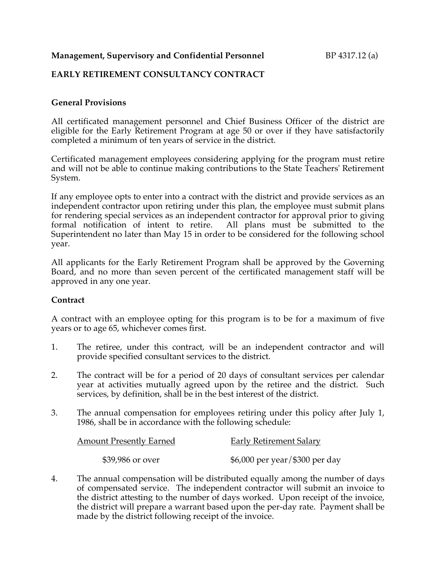## **Management, Supervisory and Confidential Personnel BP 4317.12 (a)**

## **EARLY RETIREMENT CONSULTANCY CONTRACT**

### **General Provisions**

All certificated management personnel and Chief Business Officer of the district are eligible for the Early Retirement Program at age 50 or over if they have satisfactorily completed a minimum of ten years of service in the district.

Certificated management employees considering applying for the program must retire and will not be able to continue making contributions to the State Teachers' Retirement System.

If any employee opts to enter into a contract with the district and provide services as an independent contractor upon retiring under this plan, the employee must submit plans for rendering special services as an independent contractor for approval prior to giving formal notification of intent to retire. All plans must be submitted to the Superintendent no later than May 15 in order to be considered for the following school year.

All applicants for the Early Retirement Program shall be approved by the Governing Board, and no more than seven percent of the certificated management staff will be approved in any one year.

### **Contract**

A contract with an employee opting for this program is to be for a maximum of five years or to age 65, whichever comes first.

- 1. The retiree, under this contract, will be an independent contractor and will provide specified consultant services to the district.
- 2. The contract will be for a period of 20 days of consultant services per calendar year at activities mutually agreed upon by the retiree and the district. Such services, by definition, shall be in the best interest of the district.
- 3. The annual compensation for employees retiring under this policy after July 1, 1986, shall be in accordance with the following schedule:

| <b>Amount Presently Earned</b> | <b>Early Retirement Salary</b> |
|--------------------------------|--------------------------------|
| \$39,986 or over               | \$6,000 per year/\$300 per day |

4. The annual compensation will be distributed equally among the number of days of compensated service. The independent contractor will submit an invoice to the district attesting to the number of days worked. Upon receipt of the invoice, the district will prepare a warrant based upon the per-day rate. Payment shall be made by the district following receipt of the invoice.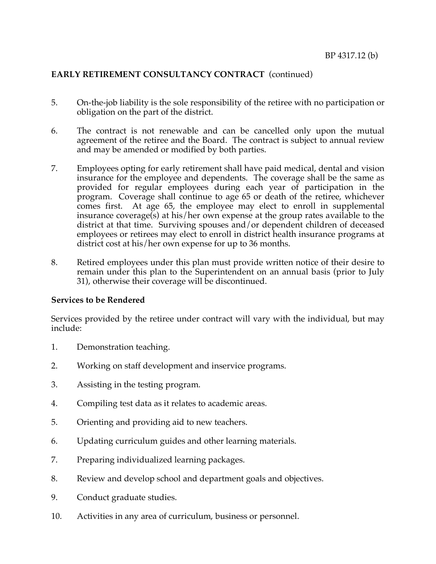# **EARLY RETIREMENT CONSULTANCY CONTRACT** (continued)

- 5. On-the-job liability is the sole responsibility of the retiree with no participation or obligation on the part of the district.
- 6. The contract is not renewable and can be cancelled only upon the mutual agreement of the retiree and the Board. The contract is subject to annual review and may be amended or modified by both parties.
- 7. Employees opting for early retirement shall have paid medical, dental and vision insurance for the employee and dependents. The coverage shall be the same as provided for regular employees during each year of participation in the program. Coverage shall continue to age 65 or death of the retiree, whichever comes first. At age 65, the employee may elect to enroll in supplemental insurance coverage(s) at his/her own expense at the group rates available to the district at that time. Surviving spouses and/or dependent children of deceased employees or retirees may elect to enroll in district health insurance programs at district cost at his/her own expense for up to 36 months.
- 8. Retired employees under this plan must provide written notice of their desire to remain under this plan to the Superintendent on an annual basis (prior to July 31), otherwise their coverage will be discontinued.

### **Services to be Rendered**

Services provided by the retiree under contract will vary with the individual, but may include:

- 1. Demonstration teaching.
- 2. Working on staff development and inservice programs.
- 3. Assisting in the testing program.
- 4. Compiling test data as it relates to academic areas.
- 5. Orienting and providing aid to new teachers.
- 6. Updating curriculum guides and other learning materials.
- 7. Preparing individualized learning packages.
- 8. Review and develop school and department goals and objectives.
- 9. Conduct graduate studies.
- 10. Activities in any area of curriculum, business or personnel.